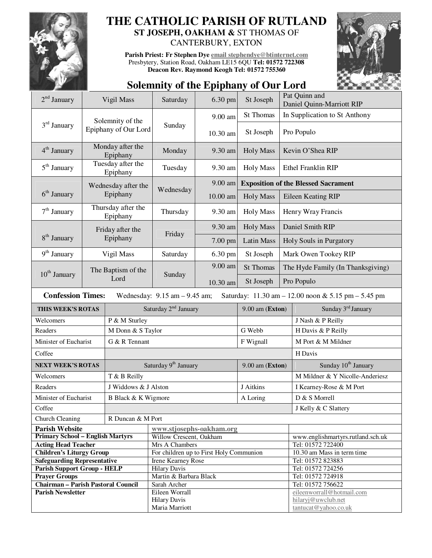

# **THE CATHOLIC PARISH OF RUTLAND ST JOSEPH, OAKHAM &** ST THOMAS OF

CANTERBURY, EXTON

**Parish Priest: Fr Stephen Dye email stephendye@btinternet.com** Presbytery, Station Road, Oakham LE15 6QU **Tel: 01572 722308 Deacon Rev. Raymond Keogh Tel: 01572 755360** 



## **Solemnity of the Epiphany of Our Lord**

| $2nd$ January                                                                                                       |                                 | Vigil Mass           | Saturday                                      | 6.30 pm  | St Joseph                                  | Pat Quinn and<br>Daniel Quinn-Marriott RIP |                                            |  |
|---------------------------------------------------------------------------------------------------------------------|---------------------------------|----------------------|-----------------------------------------------|----------|--------------------------------------------|--------------------------------------------|--------------------------------------------|--|
| $3rd$ January                                                                                                       |                                 | Solemnity of the     | Sunday                                        | 9.00 am  | <b>St Thomas</b>                           |                                            | In Supplication to St Anthony              |  |
|                                                                                                                     |                                 | Epiphany of Our Lord |                                               | 10.30 am | St Joseph                                  |                                            | Pro Populo                                 |  |
| $4th$ January                                                                                                       | Monday after the<br>Epiphany    |                      | Monday                                        | 9.30 am  | <b>Holy Mass</b>                           |                                            | Kevin O'Shea RIP                           |  |
| $5th$ January                                                                                                       | Tuesday after the<br>Epiphany   |                      | Tuesday                                       | 9.30 am  | <b>Holy Mass</b>                           |                                            | Ethel Franklin RIP                         |  |
|                                                                                                                     | Wednesday after the<br>Epiphany |                      | Wednesday                                     | 9.00 am  | <b>Exposition of the Blessed Sacrament</b> |                                            |                                            |  |
| $6th$ January                                                                                                       |                                 |                      |                                               | 10.00 am | <b>Holy Mass</b>                           |                                            | Eileen Keating RIP                         |  |
| $7th$ January                                                                                                       | Thursday after the<br>Epiphany  |                      | Thursday                                      | 9.30 am  | <b>Holy Mass</b>                           | Henry Wray Francis                         |                                            |  |
|                                                                                                                     | Friday after the<br>Epiphany    |                      | Friday                                        | 9.30 am  | <b>Holy Mass</b>                           | Daniel Smith RIP                           |                                            |  |
| 8 <sup>th</sup> January                                                                                             |                                 |                      |                                               | 7.00 pm  | Latin Mass                                 | Holy Souls in Purgatory                    |                                            |  |
| $9th$ January                                                                                                       |                                 | Vigil Mass           | Saturday                                      | 6.30 pm  | St Joseph                                  |                                            | Mark Owen Tookey RIP                       |  |
|                                                                                                                     | The Baptism of the<br>Lord      |                      | Sunday                                        | 9.00 am  | <b>St Thomas</b>                           |                                            | The Hyde Family (In Thanksgiving)          |  |
| $10th$ January                                                                                                      |                                 |                      |                                               | 10.30 am | St Joseph                                  |                                            | Pro Populo                                 |  |
| <b>Confession Times:</b><br>Wednesday: $9.15$ am $-9.45$ am;<br>Saturday: 11.30 am - 12.00 noon & 5.15 pm - 5.45 pm |                                 |                      |                                               |          |                                            |                                            |                                            |  |
| THIS WEEK'S ROTAS                                                                                                   |                                 |                      |                                               |          |                                            |                                            |                                            |  |
|                                                                                                                     |                                 |                      | Saturday 2 <sup>nd</sup> January              |          | $9.00$ am (Exton)                          |                                            | Sunday 3 <sup>rd</sup> January             |  |
| Welcomers                                                                                                           |                                 | P & M Sturley        |                                               |          |                                            |                                            | J Nash & P Reilly                          |  |
| Readers                                                                                                             |                                 | M Donn & S Taylor    |                                               |          | G Webb                                     |                                            | H Davis & P Reilly                         |  |
| Minister of Eucharist                                                                                               |                                 | G & R Tennant        |                                               |          | F Wignall                                  |                                            | M Port & M Mildner                         |  |
| Coffee                                                                                                              |                                 |                      |                                               |          |                                            |                                            | H Davis                                    |  |
| <b>NEXT WEEK'S ROTAS</b>                                                                                            |                                 |                      | Saturday 9 <sup>th</sup> January              |          | $9.00$ am (Exton)                          |                                            | Sunday 10 <sup>th</sup> January            |  |
| Welcomers                                                                                                           |                                 | T & B Reilly         |                                               |          |                                            |                                            | M Mildner & Y Nicolle-Anderiesz            |  |
| Readers                                                                                                             |                                 | J Widdows & J Alston |                                               |          | J Aitkins                                  |                                            | I Kearney-Rose & M Port                    |  |
| Minister of Eucharist                                                                                               |                                 | B Black & K Wigmore  |                                               |          |                                            |                                            | D & S Morrell                              |  |
| Coffee                                                                                                              |                                 |                      |                                               |          | A Loring                                   |                                            | J Kelly & C Slattery                       |  |
| Church Cleaning                                                                                                     |                                 | R Duncan & M Port    |                                               |          |                                            |                                            |                                            |  |
| <b>Parish Website</b>                                                                                               |                                 |                      | www.stjosephs-oakham.org                      |          |                                            |                                            |                                            |  |
| <b>Primary School - English Martyrs</b>                                                                             |                                 |                      | Willow Crescent, Oakham                       |          |                                            |                                            | www.englishmartyrs.rutland.sch.uk          |  |
| <b>Acting Head Teacher</b>                                                                                          |                                 |                      | Mrs A Chambers                                |          |                                            |                                            | Tel: 01572 722400                          |  |
| <b>Children's Liturgy Group</b>                                                                                     |                                 |                      | For children up to First Holy Communion       |          |                                            |                                            | 10.30 am Mass in term time                 |  |
| <b>Safeguarding Representative</b>                                                                                  |                                 |                      | Irene Kearney Rose                            |          |                                            |                                            | Tel: 01572 823883                          |  |
| <b>Parish Support Group - HELP</b><br><b>Prayer Groups</b>                                                          |                                 |                      | <b>Hilary Davis</b><br>Martin & Barbara Black |          |                                            |                                            | Tel: 01572 724256<br>Tel: 01572 724918     |  |
| <b>Chairman - Parish Pastoral Council</b>                                                                           |                                 |                      | Sarah Archer                                  |          |                                            |                                            | Tel: 01572 756622                          |  |
| <b>Parish Newsletter</b>                                                                                            |                                 |                      | Eileen Worrall                                |          |                                            |                                            | eileenworrall@hotmail.com                  |  |
|                                                                                                                     |                                 |                      | <b>Hilary Davis</b><br>Maria Marriott         |          |                                            |                                            | hilaryj@uwclub.net<br>tantucat@yahoo.co.uk |  |